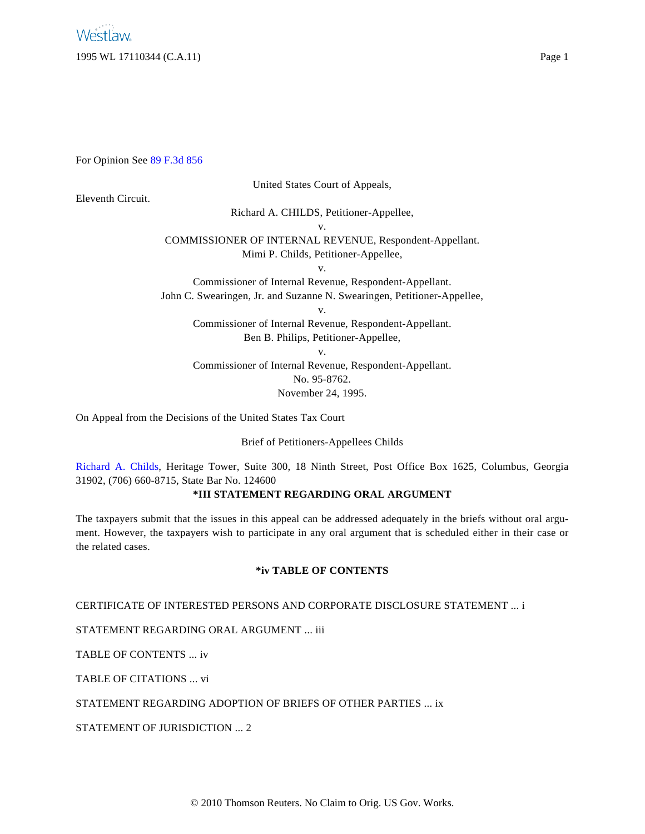For Opinion See [89 F.3d 856](http://www.westlaw.com/Find/Default.wl?rs=dfa1.0&vr=2.0&FindType=Y&SerialNum=1996142192)

United States Court of Appeals,

# Eleventh Circuit.

Richard A. CHILDS, Petitioner-Appellee,

v.

COMMISSIONER OF INTERNAL REVENUE, Respondent-Appellant. Mimi P. Childs, Petitioner-Appellee,

v.

Commissioner of Internal Revenue, Respondent-Appellant. John C. Swearingen, Jr. and Suzanne N. Swearingen, Petitioner-Appellee,

v.

Commissioner of Internal Revenue, Respondent-Appellant.

Ben B. Philips, Petitioner-Appellee,

v.

Commissioner of Internal Revenue, Respondent-Appellant. No. 95-8762.

November 24, 1995.

On Appeal from the Decisions of the United States Tax Court

Brief of Petitioners-Appellees Childs

[Richard A. Child](http://www.westlaw.com/Find/Default.wl?rs=dfa1.0&vr=2.0&DB=PROFILER-WLD&DocName=0293819101&FindType=h)s, Heritage Tower, Suite 300, 18 Ninth Street, Post Office Box 1625, Columbus, Georgia 31902, (706) 660-8715, State Bar No. 124600

# **\*III STATEMENT REGARDING ORAL ARGUMENT**

The taxpayers submit that the issues in this appeal can be addressed adequately in the briefs without oral argument. However, the taxpayers wish to participate in any oral argument that is scheduled either in their case or the related cases.

# **\*iv TABLE OF CONTENTS**

CERTIFICATE OF INTERESTED PERSONS AND CORPORATE DISCLOSURE STATEMENT ... i

STATEMENT REGARDING ORAL ARGUMENT ... iii

TABLE OF CONTENTS ... iv

TABLE OF CITATIONS ... vi

STATEMENT REGARDING ADOPTION OF BRIEFS OF OTHER PARTIES ... ix

STATEMENT OF JURISDICTION ... 2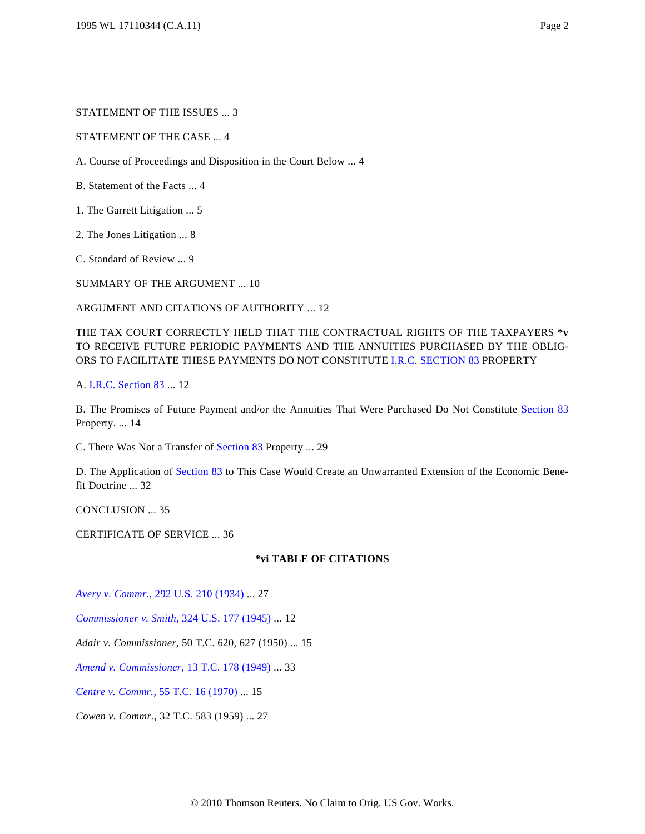STATEMENT OF THE CASE ... 4

A. Course of Proceedings and Disposition in the Court Below ... 4

B. Statement of the Facts ... 4

1. The Garrett Litigation ... 5

2. The Jones Litigation ... 8

C. Standard of Review ... 9

SUMMARY OF THE ARGUMENT ... 10

ARGUMENT AND CITATIONS OF AUTHORITY ... 12

THE TAX COURT CORRECTLY HELD THAT THE CONTRACTUAL RIGHTS OF THE TAXPAYERS **\*v** TO RECEIVE FUTURE PERIODIC PAYMENTS AND THE ANNUITIES PURCHASED BY THE OBLIG-ORS TO FACILITATE THESE PAYMENTS DO NOT CONSTITUTE [I.R.C. SECTION 83](http://www.westlaw.com/Find/Default.wl?rs=dfa1.0&vr=2.0&DB=1000546&DocName=26USCAS83&FindType=L) PROPERTY

A. [I.R.C. Section 83](http://www.westlaw.com/Find/Default.wl?rs=dfa1.0&vr=2.0&DB=1000546&DocName=26USCAS83&FindType=L) ... 12

B. The Promises of Future Payment and/or the Annuities That Were Purchased Do Not Constitute [Section 83](http://www.westlaw.com/Find/Default.wl?rs=dfa1.0&vr=2.0&DB=1000546&DocName=26USCAS83&FindType=L) Property. ... 14

C. There Was Not a Transfer of [Section 83](http://www.westlaw.com/Find/Default.wl?rs=dfa1.0&vr=2.0&DB=1000546&DocName=26USCAS83&FindType=L) Property ... 29

D. The Application of [Section 83](http://www.westlaw.com/Find/Default.wl?rs=dfa1.0&vr=2.0&DB=1000546&DocName=26USCAS83&FindType=L) to This Case Would Create an Unwarranted Extension of the Economic Benefit Doctrine ... 32

CONCLUSION ... 35

CERTIFICATE OF SERVICE ... 36

#### **\*vi TABLE OF CITATIONS**

*[Avery v. Commr](http://www.westlaw.com/Find/Default.wl?rs=dfa1.0&vr=2.0&DB=780&FindType=Y&SerialNum=1934123861).*[, 292 U.S. 210 \(1934\)](http://www.westlaw.com/Find/Default.wl?rs=dfa1.0&vr=2.0&DB=780&FindType=Y&SerialNum=1934123861) ... 27

*[Commissioner v. Smith](http://www.westlaw.com/Find/Default.wl?rs=dfa1.0&vr=2.0&DB=780&FindType=Y&SerialNum=1945114092)*[, 324 U.S. 177 \(1945\)](http://www.westlaw.com/Find/Default.wl?rs=dfa1.0&vr=2.0&DB=780&FindType=Y&SerialNum=1945114092) ... 12

*Adair v. Commissioner*, 50 T.C. 620, 627 (1950) ... 15

*[Amend v. Commissioner](http://www.westlaw.com/Find/Default.wl?rs=dfa1.0&vr=2.0&DB=838&FindType=Y&SerialNum=1949000225)*[, 13 T.C. 178 \(1949\)](http://www.westlaw.com/Find/Default.wl?rs=dfa1.0&vr=2.0&DB=838&FindType=Y&SerialNum=1949000225) ... 33

*[Centre v. Commr](http://www.westlaw.com/Find/Default.wl?rs=dfa1.0&vr=2.0&DB=838&FindType=Y&SerialNum=1971290034).*[, 55 T.C. 16 \(1970\)](http://www.westlaw.com/Find/Default.wl?rs=dfa1.0&vr=2.0&DB=838&FindType=Y&SerialNum=1971290034) ... 15

*Cowen v. Commr.*, 32 T.C. 583 (1959) ... 27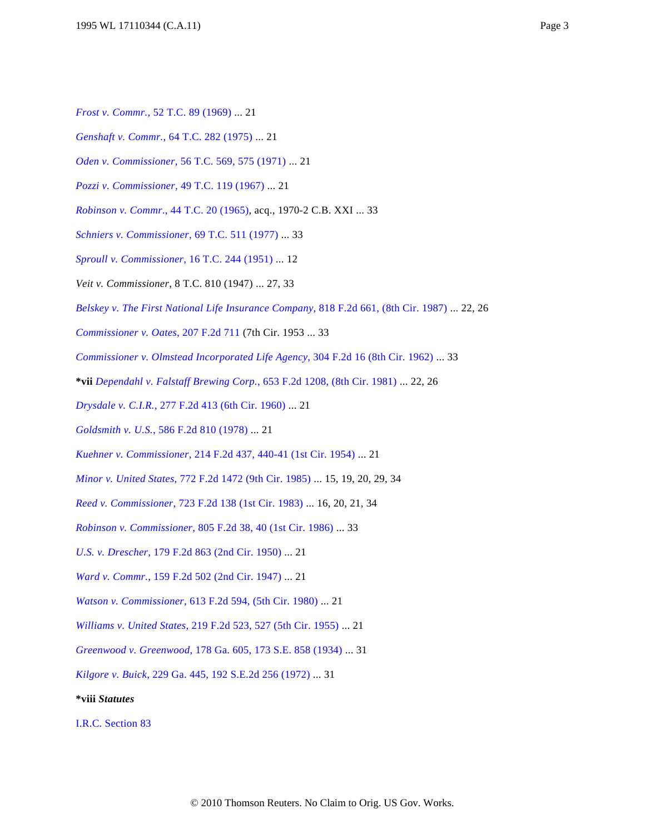- *[Genshaft v. Commr](http://www.westlaw.com/Find/Default.wl?rs=dfa1.0&vr=2.0&DB=838&FindType=Y&SerialNum=1975290002).*[, 64 T.C. 282 \(1975\)](http://www.westlaw.com/Find/Default.wl?rs=dfa1.0&vr=2.0&DB=838&FindType=Y&SerialNum=1975290002) ... 21
- *[Oden v. Commissioner](http://www.westlaw.com/Find/Default.wl?rs=dfa1.0&vr=2.0&DB=838&FindType=Y&ReferencePositionType=S&SerialNum=1972290238&ReferencePosition=575)*[, 56 T.C. 569, 575 \(1971\)](http://www.westlaw.com/Find/Default.wl?rs=dfa1.0&vr=2.0&DB=838&FindType=Y&ReferencePositionType=S&SerialNum=1972290238&ReferencePosition=575) ... 21
- *[Pozzi v. Commissioner](http://www.westlaw.com/Find/Default.wl?rs=dfa1.0&vr=2.0&DB=838&FindType=Y&SerialNum=1968290137)*[, 49 T.C. 119 \(1967\)](http://www.westlaw.com/Find/Default.wl?rs=dfa1.0&vr=2.0&DB=838&FindType=Y&SerialNum=1968290137) ... 21
- *[Robinson v. Commr](http://www.westlaw.com/Find/Default.wl?rs=dfa1.0&vr=2.0&DB=838&FindType=Y&SerialNum=1965001165)*[., 44 T.C. 20 \(1965\)](http://www.westlaw.com/Find/Default.wl?rs=dfa1.0&vr=2.0&DB=838&FindType=Y&SerialNum=1965001165), acq., 1970-2 C.B. XXI ... 33
- *[Schniers v. Commissioner](http://www.westlaw.com/Find/Default.wl?rs=dfa1.0&vr=2.0&DB=838&FindType=Y&SerialNum=1978290192)*[, 69 T.C. 511 \(1977\)](http://www.westlaw.com/Find/Default.wl?rs=dfa1.0&vr=2.0&DB=838&FindType=Y&SerialNum=1978290192) ... 33
- *[Sproull v. Commissioner](http://www.westlaw.com/Find/Default.wl?rs=dfa1.0&vr=2.0&DB=838&FindType=Y&SerialNum=1951287377)*[, 16 T.C. 244 \(1951\)](http://www.westlaw.com/Find/Default.wl?rs=dfa1.0&vr=2.0&DB=838&FindType=Y&SerialNum=1951287377) ... 12
- *Veit v. Commissioner*, 8 T.C. 810 (1947) ... 27, 33
- *[Belskey v. The First National Life Insurance Company](http://www.westlaw.com/Find/Default.wl?rs=dfa1.0&vr=2.0&DB=350&FindType=Y&SerialNum=1987060295)*[, 818 F.2d 661, \(8th Cir. 1987\)](http://www.westlaw.com/Find/Default.wl?rs=dfa1.0&vr=2.0&DB=350&FindType=Y&SerialNum=1987060295) ... 22, 26
- *[Commissioner v. Oates](http://www.westlaw.com/Find/Default.wl?rs=dfa1.0&vr=2.0&DB=350&FindType=Y&SerialNum=1953117067)*[, 207 F.2d 711](http://www.westlaw.com/Find/Default.wl?rs=dfa1.0&vr=2.0&DB=350&FindType=Y&SerialNum=1953117067) (7th Cir. 1953 ... 33
- *[Commissioner v. Olmstead Incorporated Life Agency](http://www.westlaw.com/Find/Default.wl?rs=dfa1.0&vr=2.0&DB=350&FindType=Y&SerialNum=1962114909)*[, 304 F.2d 16 \(8th Cir. 1962\)](http://www.westlaw.com/Find/Default.wl?rs=dfa1.0&vr=2.0&DB=350&FindType=Y&SerialNum=1962114909) ... 33
- **\*vii** *[Dependahl v. Falstaff Brewing Corp.](http://www.westlaw.com/Find/Default.wl?rs=dfa1.0&vr=2.0&DB=350&FindType=Y&SerialNum=1981127994)*[, 653 F.2d 1208, \(8th Cir. 1981\)](http://www.westlaw.com/Find/Default.wl?rs=dfa1.0&vr=2.0&DB=350&FindType=Y&SerialNum=1981127994) ... 22, 26
- *[Drysdale v. C.I.R](http://www.westlaw.com/Find/Default.wl?rs=dfa1.0&vr=2.0&DB=350&FindType=Y&SerialNum=1960101102).*[, 277 F.2d 413 \(6th Cir. 1960\)](http://www.westlaw.com/Find/Default.wl?rs=dfa1.0&vr=2.0&DB=350&FindType=Y&SerialNum=1960101102) ... 21
- *[Goldsmith v. U.S.](http://www.westlaw.com/Find/Default.wl?rs=dfa1.0&vr=2.0&DB=350&FindType=Y&SerialNum=1978120911)*[, 586 F.2d 810 \(1978\)](http://www.westlaw.com/Find/Default.wl?rs=dfa1.0&vr=2.0&DB=350&FindType=Y&SerialNum=1978120911) ... 21
- *[Kuehner v. Commissioner](http://www.westlaw.com/Find/Default.wl?rs=dfa1.0&vr=2.0&DB=350&FindType=Y&ReferencePositionType=S&SerialNum=1954118906&ReferencePosition=440)*[, 214 F.2d 437, 440-41 \(1st Cir. 1954\)](http://www.westlaw.com/Find/Default.wl?rs=dfa1.0&vr=2.0&DB=350&FindType=Y&ReferencePositionType=S&SerialNum=1954118906&ReferencePosition=440) ... 21
- *[Minor v. United States](http://www.westlaw.com/Find/Default.wl?rs=dfa1.0&vr=2.0&DB=350&FindType=Y&SerialNum=1985148622)*[, 772 F.2d 1472 \(9th Cir. 1985\)](http://www.westlaw.com/Find/Default.wl?rs=dfa1.0&vr=2.0&DB=350&FindType=Y&SerialNum=1985148622) ... 15, 19, 20, 29, 34
- *[Reed v. Commissioner](http://www.westlaw.com/Find/Default.wl?rs=dfa1.0&vr=2.0&DB=350&FindType=Y&SerialNum=1983154937)*[, 723 F.2d 138 \(1st Cir. 1983\)](http://www.westlaw.com/Find/Default.wl?rs=dfa1.0&vr=2.0&DB=350&FindType=Y&SerialNum=1983154937) ... 16, 20, 21, 34
- *[Robinson v. Commissioner](http://www.westlaw.com/Find/Default.wl?rs=dfa1.0&vr=2.0&DB=350&FindType=Y&ReferencePositionType=S&SerialNum=1986156074&ReferencePosition=40)*[, 805 F.2d 38, 40 \(1st Cir. 1986\)](http://www.westlaw.com/Find/Default.wl?rs=dfa1.0&vr=2.0&DB=350&FindType=Y&ReferencePositionType=S&SerialNum=1986156074&ReferencePosition=40) ... 33
- *[U.S. v. Drescher](http://www.westlaw.com/Find/Default.wl?rs=dfa1.0&vr=2.0&DB=350&FindType=Y&SerialNum=1950119573)*[, 179 F.2d 863 \(2nd Cir. 1950\)](http://www.westlaw.com/Find/Default.wl?rs=dfa1.0&vr=2.0&DB=350&FindType=Y&SerialNum=1950119573) ... 21
- *[Ward v. Commr.](http://www.westlaw.com/Find/Default.wl?rs=dfa1.0&vr=2.0&DB=350&FindType=Y&SerialNum=1947117606)*[, 159 F.2d 502 \(2nd Cir. 1947\)](http://www.westlaw.com/Find/Default.wl?rs=dfa1.0&vr=2.0&DB=350&FindType=Y&SerialNum=1947117606) ... 21
- *[Watson v. Commissioner](http://www.westlaw.com/Find/Default.wl?rs=dfa1.0&vr=2.0&DB=350&FindType=Y&SerialNum=1980102193)*[, 613 F.2d 594, \(5th Cir. 1980\)](http://www.westlaw.com/Find/Default.wl?rs=dfa1.0&vr=2.0&DB=350&FindType=Y&SerialNum=1980102193) ... 21
- *[Williams v. United States](http://www.westlaw.com/Find/Default.wl?rs=dfa1.0&vr=2.0&DB=350&FindType=Y&ReferencePositionType=S&SerialNum=1955121916&ReferencePosition=527)*[, 219 F.2d 523, 527 \(5th Cir. 1955\)](http://www.westlaw.com/Find/Default.wl?rs=dfa1.0&vr=2.0&DB=350&FindType=Y&ReferencePositionType=S&SerialNum=1955121916&ReferencePosition=527) ... 21
- *[Greenwood v. Greenwood](http://www.westlaw.com/Find/Default.wl?rs=dfa1.0&vr=2.0&DB=710&FindType=Y&SerialNum=1934106835)*[, 178 Ga. 605, 173 S.E. 858 \(1934\)](http://www.westlaw.com/Find/Default.wl?rs=dfa1.0&vr=2.0&DB=710&FindType=Y&SerialNum=1934106835) ... 31
- *[Kilgore v. Buick](http://www.westlaw.com/Find/Default.wl?rs=dfa1.0&vr=2.0&DB=711&FindType=Y&SerialNum=1972129077)*[, 229 Ga. 445, 192 S.E.2d 256 \(1972\)](http://www.westlaw.com/Find/Default.wl?rs=dfa1.0&vr=2.0&DB=711&FindType=Y&SerialNum=1972129077) ... 31

**\*viii** *Statutes*

[I.R.C. Section 83](http://www.westlaw.com/Find/Default.wl?rs=dfa1.0&vr=2.0&DB=1012823&DocName=26USCAS83&FindType=L)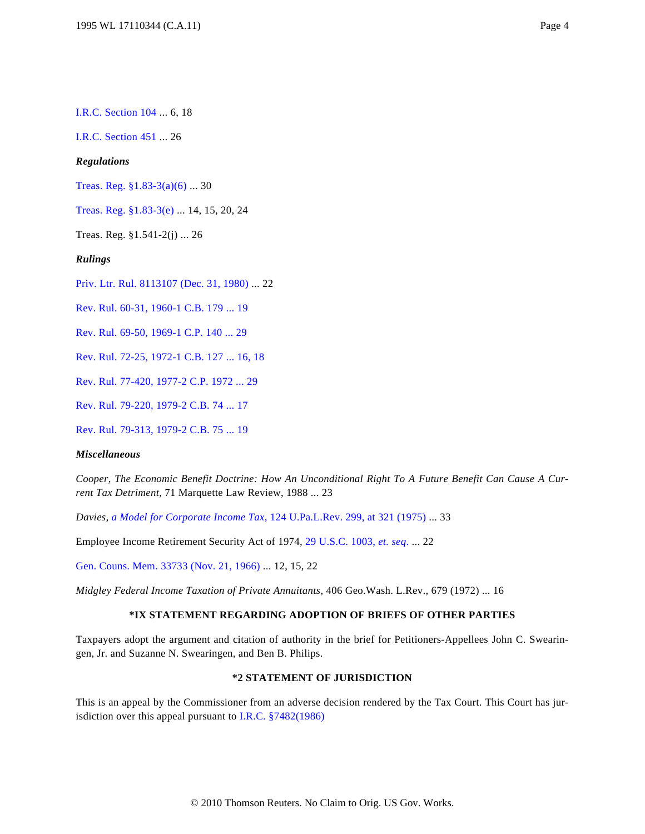[I.R.C. Section 104](http://www.westlaw.com/Find/Default.wl?rs=dfa1.0&vr=2.0&DB=1012823&DocName=26USCAS104&FindType=L) ... 6, 18

[I.R.C. Section 451](http://www.westlaw.com/Find/Default.wl?rs=dfa1.0&vr=2.0&DB=1012823&DocName=26USCAS451&FindType=L) ... 26

### *Regulations*

[Treas. Reg. §1.83-3\(a\)\(6\)](http://www.westlaw.com/Find/Default.wl?rs=dfa1.0&vr=2.0&DB=1016188&DocName=26CFRS1.83-3&FindType=L&ReferencePositionType=T&ReferencePosition=SP_1496000051ed7) ... 30

[Treas. Reg. §1.83-3\(e\)](http://www.westlaw.com/Find/Default.wl?rs=dfa1.0&vr=2.0&DB=1016188&DocName=26CFRS1.83-3&FindType=L&ReferencePositionType=T&ReferencePosition=SP_7fdd00001ca15) ... 14, 15, 20, 24

Treas. Reg. §1.541-2(j) ... 26

*Rulings*

[Priv. Ltr. Rul. 8113107 \(Dec. 31, 1980\)](http://www.westlaw.com/Find/Default.wl?rs=dfa1.0&vr=2.0&DB=0004309&FindType=Y&SerialNum=1980034226) ... 22

[Rev. Rul. 60-31, 1960-1 C.B. 179 ... 19](http://www.westlaw.com/Find/Default.wl?rs=dfa1.0&vr=2.0&DB=1048&FindType=Y&SerialNum=1960013797)

[Rev. Rul. 69-50, 1969-1 C.P. 140 ... 29](http://www.westlaw.com/Find/Default.wl?rs=dfa1.0&vr=2.0&DB=1048&FindType=Y&SerialNum=1969014117)

[Rev. Rul. 72-25, 1972-1 C.B. 127 ... 16, 18](http://www.westlaw.com/Find/Default.wl?rs=dfa1.0&vr=2.0&DB=1048&FindType=Y&SerialNum=1972019692)

[Rev. Rul. 77-420, 1977-2 C.P. 1972 ... 29](http://www.westlaw.com/Find/Default.wl?rs=dfa1.0&vr=2.0&DB=1048&FindType=Y&SerialNum=1977019414)

[Rev. Rul. 79-220, 1979-2 C.B. 74 ... 17](http://www.westlaw.com/Find/Default.wl?rs=dfa1.0&vr=2.0&DB=1048&FindType=Y&SerialNum=1979020295)

[Rev. Rul. 79-313, 1979-2 C.B. 75 ... 19](http://www.westlaw.com/Find/Default.wl?rs=dfa1.0&vr=2.0&DB=1048&FindType=Y&SerialNum=1979020296)

### *Miscellaneous*

*Cooper, The Economic Benefit Doctrine: How An Unconditional Right To A Future Benefit Can Cause A Current Tax Detriment*, 71 Marquette Law Review, 1988 ... 23

*Davies, [a Model for Corporate Income Tax](http://www.westlaw.com/Find/Default.wl?rs=dfa1.0&vr=2.0&DB=1268&FindType=Y&ReferencePositionType=S&SerialNum=0284406401&ReferencePosition=321)*[, 124 U.Pa.L.Rev. 299, at 321 \(1975\)](http://www.westlaw.com/Find/Default.wl?rs=dfa1.0&vr=2.0&DB=1268&FindType=Y&ReferencePositionType=S&SerialNum=0284406401&ReferencePosition=321) ... 33

Employee Income Retirement Security Act of 1974, [29 U.S.C. 1003,](http://www.westlaw.com/Find/Default.wl?rs=dfa1.0&vr=2.0&DB=1000546&DocName=29USCAS1003&FindType=L) *[et. seq](http://www.westlaw.com/Find/Default.wl?rs=dfa1.0&vr=2.0&DB=1000546&DocName=29USCAS1003&FindType=L)*. ... 22

[Gen. Couns. Mem. 33733 \(Nov. 21, 1966\)](http://www.westlaw.com/Find/Default.wl?rs=dfa1.0&vr=2.0&DB=0003002&FindType=Y&SerialNum=1968080411) ... 12, 15, 22

*Midgley Federal Income Taxation of Private Annuitants*, 406 Geo.Wash. L.Rev., 679 (1972) ... 16

# **\*IX STATEMENT REGARDING ADOPTION OF BRIEFS OF OTHER PARTIES**

Taxpayers adopt the argument and citation of authority in the brief for Petitioners-Appellees John C. Swearingen, Jr. and Suzanne N. Swearingen, and Ben B. Philips.

## **\*2 STATEMENT OF JURISDICTION**

This is an appeal by the Commissioner from an adverse decision rendered by the Tax Court. This Court has jurisdiction over this appeal pursuant to [I.R.C. §7482\(1986\)](http://www.westlaw.com/Find/Default.wl?rs=dfa1.0&vr=2.0&DB=1012823&DocName=26USCAS7482&FindType=L)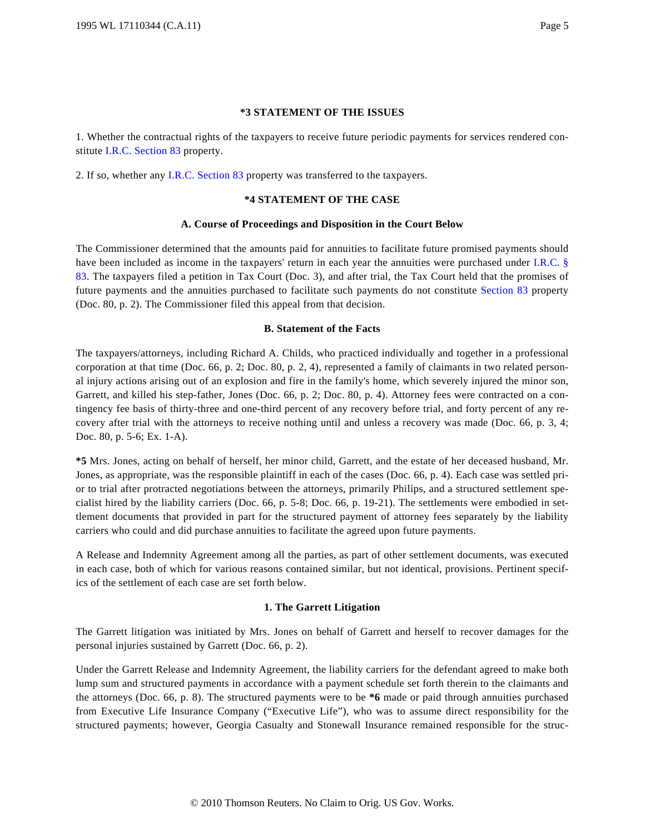### **\*3 STATEMENT OF THE ISSUES**

1. Whether the contractual rights of the taxpayers to receive future periodic payments for services rendered constitute [I.R.C. Section 83](http://www.westlaw.com/Find/Default.wl?rs=dfa1.0&vr=2.0&DB=1012823&DocName=26USCAS83&FindType=L) property.

2. If so, whether any [I.R.C. Section 83](http://www.westlaw.com/Find/Default.wl?rs=dfa1.0&vr=2.0&DB=1012823&DocName=26USCAS83&FindType=L) property was transferred to the taxpayers.

#### **\*4 STATEMENT OF THE CASE**

#### **A. Course of Proceedings and Disposition in the Court Below**

The Commissioner determined that the amounts paid for annuities to facilitate future promised payments should have been included as income in the taxpayers' return in each year the annuities were purchased under [I.R.C. §](http://www.westlaw.com/Find/Default.wl?rs=dfa1.0&vr=2.0&DB=1012823&DocName=26USCAS83&FindType=L) [83](http://www.westlaw.com/Find/Default.wl?rs=dfa1.0&vr=2.0&DB=1012823&DocName=26USCAS83&FindType=L). The taxpayers filed a petition in Tax Court (Doc. 3), and after trial, the Tax Court held that the promises of future payments and the annuities purchased to facilitate such payments do not constitute [Section 83](http://www.westlaw.com/Find/Default.wl?rs=dfa1.0&vr=2.0&DB=1012823&DocName=26USCAS83&FindType=L) property (Doc. 80, p. 2). The Commissioner filed this appeal from that decision.

### **B. Statement of the Facts**

The taxpayers/attorneys, including Richard A. Childs, who practiced individually and together in a professional corporation at that time (Doc. 66, p. 2; Doc. 80, p. 2, 4), represented a family of claimants in two related personal injury actions arising out of an explosion and fire in the family's home, which severely injured the minor son, Garrett, and killed his step-father, Jones (Doc. 66, p. 2; Doc. 80, p. 4). Attorney fees were contracted on a contingency fee basis of thirty-three and one-third percent of any recovery before trial, and forty percent of any recovery after trial with the attorneys to receive nothing until and unless a recovery was made (Doc. 66, p. 3, 4; Doc. 80, p. 5-6; Ex. 1-A).

**\*5** Mrs. Jones, acting on behalf of herself, her minor child, Garrett, and the estate of her deceased husband, Mr. Jones, as appropriate, was the responsible plaintiff in each of the cases (Doc. 66, p. 4). Each case was settled prior to trial after protracted negotiations between the attorneys, primarily Philips, and a structured settlement specialist hired by the liability carriers (Doc. 66, p. 5-8; Doc. 66, p. 19-21). The settlements were embodied in settlement documents that provided in part for the structured payment of attorney fees separately by the liability carriers who could and did purchase annuities to facilitate the agreed upon future payments.

A Release and Indemnity Agreement among all the parties, as part of other settlement documents, was executed in each case, both of which for various reasons contained similar, but not identical, provisions. Pertinent specifics of the settlement of each case are set forth below.

### **1. The Garrett Litigation**

The Garrett litigation was initiated by Mrs. Jones on behalf of Garrett and herself to recover damages for the personal injuries sustained by Garrett (Doc. 66, p. 2).

Under the Garrett Release and Indemnity Agreement, the liability carriers for the defendant agreed to make both lump sum and structured payments in accordance with a payment schedule set forth therein to the claimants and the attorneys (Doc. 66, p. 8). The structured payments were to be **\*6** made or paid through annuities purchased from Executive Life Insurance Company ("Executive Life"), who was to assume direct responsibility for the structured payments; however, Georgia Casualty and Stonewall Insurance remained responsible for the struc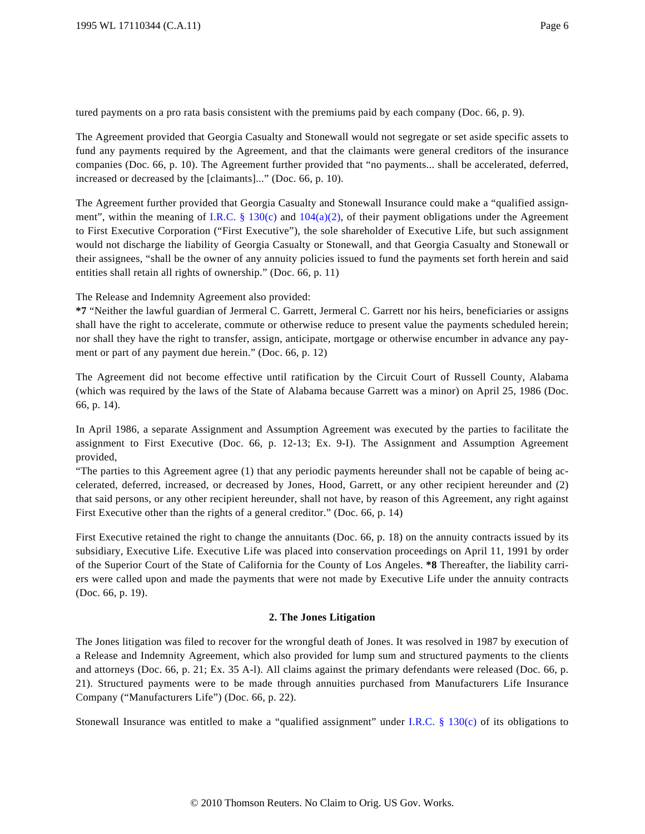tured payments on a pro rata basis consistent with the premiums paid by each company (Doc. 66, p. 9).

The Agreement provided that Georgia Casualty and Stonewall would not segregate or set aside specific assets to fund any payments required by the Agreement, and that the claimants were general creditors of the insurance companies (Doc. 66, p. 10). The Agreement further provided that "no payments... shall be accelerated, deferred, increased or decreased by the [claimants]..." (Doc. 66, p. 10).

The Agreement further provided that Georgia Casualty and Stonewall Insurance could make a "qualified assign-ment", within the meaning of [I.R.C. § 130\(c](http://www.westlaw.com/Find/Default.wl?rs=dfa1.0&vr=2.0&DB=1012823&DocName=26USCAS130&FindType=L&ReferencePositionType=T&ReferencePosition=SP_4b24000003ba5)) and  $104(a)(2)$ , of their payment obligations under the Agreement to First Executive Corporation ("First Executive"), the sole shareholder of Executive Life, but such assignment would not discharge the liability of Georgia Casualty or Stonewall, and that Georgia Casualty and Stonewall or their assignees, "shall be the owner of any annuity policies issued to fund the payments set forth herein and said entities shall retain all rights of ownership." (Doc. 66, p. 11)

The Release and Indemnity Agreement also provided:

**\*7** "Neither the lawful guardian of Jermeral C. Garrett, Jermeral C. Garrett nor his heirs, beneficiaries or assigns shall have the right to accelerate, commute or otherwise reduce to present value the payments scheduled herein; nor shall they have the right to transfer, assign, anticipate, mortgage or otherwise encumber in advance any payment or part of any payment due herein." (Doc. 66, p. 12)

The Agreement did not become effective until ratification by the Circuit Court of Russell County, Alabama (which was required by the laws of the State of Alabama because Garrett was a minor) on April 25, 1986 (Doc. 66, p. 14).

In April 1986, a separate Assignment and Assumption Agreement was executed by the parties to facilitate the assignment to First Executive (Doc. 66, p. 12-13; Ex. 9-I). The Assignment and Assumption Agreement provided,

"The parties to this Agreement agree (1) that any periodic payments hereunder shall not be capable of being accelerated, deferred, increased, or decreased by Jones, Hood, Garrett, or any other recipient hereunder and (2) that said persons, or any other recipient hereunder, shall not have, by reason of this Agreement, any right against First Executive other than the rights of a general creditor." (Doc. 66, p. 14)

First Executive retained the right to change the annuitants (Doc. 66, p. 18) on the annuity contracts issued by its subsidiary, Executive Life. Executive Life was placed into conservation proceedings on April 11, 1991 by order of the Superior Court of the State of California for the County of Los Angeles. **\*8** Thereafter, the liability carriers were called upon and made the payments that were not made by Executive Life under the annuity contracts (Doc. 66, p. 19).

# **2. The Jones Litigation**

The Jones litigation was filed to recover for the wrongful death of Jones. It was resolved in 1987 by execution of a Release and Indemnity Agreement, which also provided for lump sum and structured payments to the clients and attorneys (Doc. 66, p. 21; Ex. 35 A-l). All claims against the primary defendants were released (Doc. 66, p. 21). Structured payments were to be made through annuities purchased from Manufacturers Life Insurance Company ("Manufacturers Life") (Doc. 66, p. 22).

Stonewall Insurance was entitled to make a "qualified assignment" under [I.R.C. § 130\(c](http://www.westlaw.com/Find/Default.wl?rs=dfa1.0&vr=2.0&DB=1012823&DocName=26USCAS130&FindType=L&ReferencePositionType=T&ReferencePosition=SP_4b24000003ba5)) of its obligations to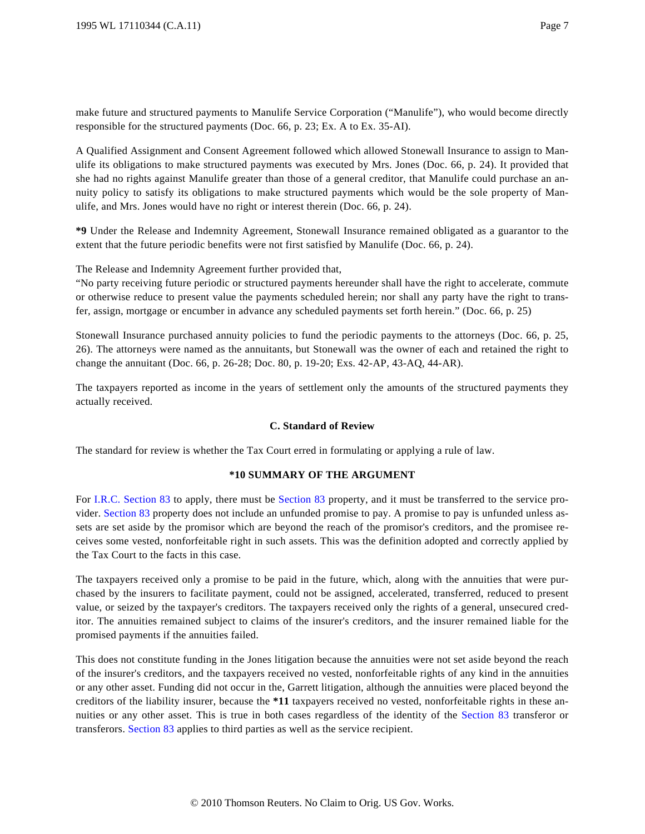make future and structured payments to Manulife Service Corporation ("Manulife"), who would become directly responsible for the structured payments (Doc. 66, p. 23; Ex. A to Ex. 35-AI).

A Qualified Assignment and Consent Agreement followed which allowed Stonewall Insurance to assign to Manulife its obligations to make structured payments was executed by Mrs. Jones (Doc. 66, p. 24). It provided that she had no rights against Manulife greater than those of a general creditor, that Manulife could purchase an annuity policy to satisfy its obligations to make structured payments which would be the sole property of Manulife, and Mrs. Jones would have no right or interest therein (Doc. 66, p. 24).

**\*9** Under the Release and Indemnity Agreement, Stonewall Insurance remained obligated as a guarantor to the extent that the future periodic benefits were not first satisfied by Manulife (Doc. 66, p. 24).

The Release and Indemnity Agreement further provided that,

"No party receiving future periodic or structured payments hereunder shall have the right to accelerate, commute or otherwise reduce to present value the payments scheduled herein; nor shall any party have the right to transfer, assign, mortgage or encumber in advance any scheduled payments set forth herein." (Doc. 66, p. 25)

Stonewall Insurance purchased annuity policies to fund the periodic payments to the attorneys (Doc. 66, p. 25, 26). The attorneys were named as the annuitants, but Stonewall was the owner of each and retained the right to change the annuitant (Doc. 66, p. 26-28; Doc. 80, p. 19-20; Exs. 42-AP, 43-AQ, 44-AR).

The taxpayers reported as income in the years of settlement only the amounts of the structured payments they actually received.

# **C. Standard of Review**

The standard for review is whether the Tax Court erred in formulating or applying a rule of law.

# **\*10 SUMMARY OF THE ARGUMENT**

For [I.R.C. Section 83](http://www.westlaw.com/Find/Default.wl?rs=dfa1.0&vr=2.0&DB=1012823&DocName=26USCAS83&FindType=L) to apply, there must be [Section 83](http://www.westlaw.com/Find/Default.wl?rs=dfa1.0&vr=2.0&DB=1012823&DocName=26USCAS83&FindType=L) property, and it must be transferred to the service provider. [Section 83](http://www.westlaw.com/Find/Default.wl?rs=dfa1.0&vr=2.0&DB=1012823&DocName=26USCAS83&FindType=L) property does not include an unfunded promise to pay. A promise to pay is unfunded unless assets are set aside by the promisor which are beyond the reach of the promisor's creditors, and the promisee receives some vested, nonforfeitable right in such assets. This was the definition adopted and correctly applied by the Tax Court to the facts in this case.

The taxpayers received only a promise to be paid in the future, which, along with the annuities that were purchased by the insurers to facilitate payment, could not be assigned, accelerated, transferred, reduced to present value, or seized by the taxpayer's creditors. The taxpayers received only the rights of a general, unsecured creditor. The annuities remained subject to claims of the insurer's creditors, and the insurer remained liable for the promised payments if the annuities failed.

This does not constitute funding in the Jones litigation because the annuities were not set aside beyond the reach of the insurer's creditors, and the taxpayers received no vested, nonforfeitable rights of any kind in the annuities or any other asset. Funding did not occur in the, Garrett litigation, although the annuities were placed beyond the creditors of the liability insurer, because the **\*11** taxpayers received no vested, nonforfeitable rights in these annuities or any other asset. This is true in both cases regardless of the identity of the [Section 83](http://www.westlaw.com/Find/Default.wl?rs=dfa1.0&vr=2.0&DB=1012823&DocName=26USCAS83&FindType=L) transferor or transferors. [Section 83](http://www.westlaw.com/Find/Default.wl?rs=dfa1.0&vr=2.0&DB=1012823&DocName=26USCAS83&FindType=L) applies to third parties as well as the service recipient.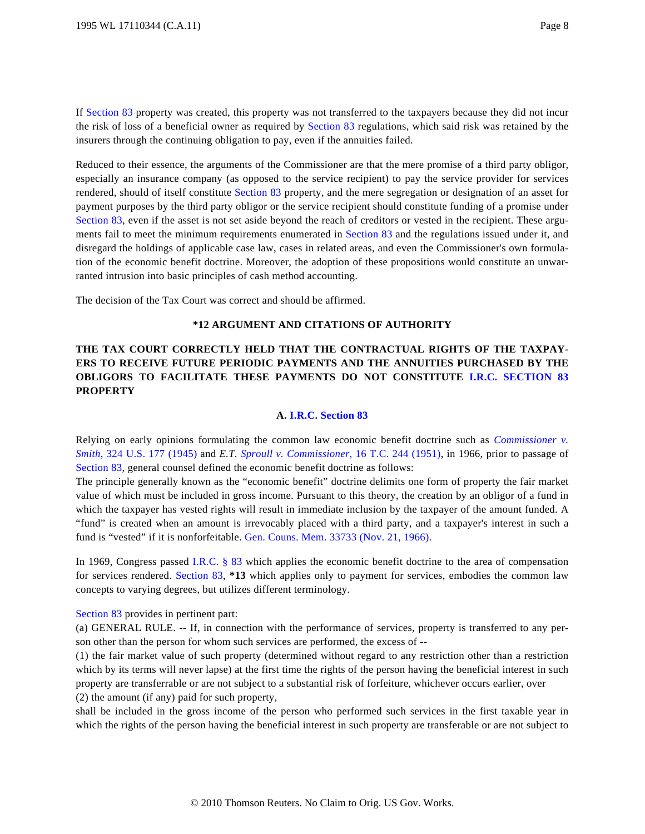If [Section 83](http://www.westlaw.com/Find/Default.wl?rs=dfa1.0&vr=2.0&DB=1012823&DocName=26USCAS83&FindType=L) property was created, this property was not transferred to the taxpayers because they did not incur the risk of loss of a beneficial owner as required by [Section 83](http://www.westlaw.com/Find/Default.wl?rs=dfa1.0&vr=2.0&DB=1012823&DocName=26USCAS83&FindType=L) regulations, which said risk was retained by the insurers through the continuing obligation to pay, even if the annuities failed.

Reduced to their essence, the arguments of the Commissioner are that the mere promise of a third party obligor, especially an insurance company (as opposed to the service recipient) to pay the service provider for services rendered, should of itself constitute [Section 83](http://www.westlaw.com/Find/Default.wl?rs=dfa1.0&vr=2.0&DB=1012823&DocName=26USCAS83&FindType=L) property, and the mere segregation or designation of an asset for payment purposes by the third party obligor or the service recipient should constitute funding of a promise under [Section 83](http://www.westlaw.com/Find/Default.wl?rs=dfa1.0&vr=2.0&DB=1012823&DocName=26USCAS83&FindType=L), even if the asset is not set aside beyond the reach of creditors or vested in the recipient. These arguments fail to meet the minimum requirements enumerated in [Section 83](http://www.westlaw.com/Find/Default.wl?rs=dfa1.0&vr=2.0&DB=1012823&DocName=26USCAS83&FindType=L) and the regulations issued under it, and disregard the holdings of applicable case law, cases in related areas, and even the Commissioner's own formulation of the economic benefit doctrine. Moreover, the adoption of these propositions would constitute an unwarranted intrusion into basic principles of cash method accounting.

The decision of the Tax Court was correct and should be affirmed.

# **\*12 ARGUMENT AND CITATIONS OF AUTHORITY**

# **THE TAX COURT CORRECTLY HELD THAT THE CONTRACTUAL RIGHTS OF THE TAXPAY-ERS TO RECEIVE FUTURE PERIODIC PAYMENTS AND THE ANNUITIES PURCHASED BY THE OBLIGORS TO FACILITATE THESE PAYMENTS DO NOT CONSTITUTE [I.R.C. SECTION 8](http://www.westlaw.com/Find/Default.wl?rs=dfa1.0&vr=2.0&DB=1012823&DocName=26USCAS83&FindType=L)3 PROPERTY**

#### **A. [I.R.C. Section 83](http://www.westlaw.com/Find/Default.wl?rs=dfa1.0&vr=2.0&DB=1012823&DocName=26USCAS83&FindType=L)**

Relying on early opinions formulating the common law economic benefit doctrine such as *[Commissioner v.](http://www.westlaw.com/Find/Default.wl?rs=dfa1.0&vr=2.0&DB=780&FindType=Y&SerialNum=1945114092) [Smith](http://www.westlaw.com/Find/Default.wl?rs=dfa1.0&vr=2.0&DB=780&FindType=Y&SerialNum=1945114092)*[, 324 U.S. 177 \(1945](http://www.westlaw.com/Find/Default.wl?rs=dfa1.0&vr=2.0&DB=780&FindType=Y&SerialNum=1945114092)) and *E.T. [Sproull v. Commissioner](http://www.westlaw.com/Find/Default.wl?rs=dfa1.0&vr=2.0&DB=838&FindType=Y&SerialNum=1951287377)*[, 16 T.C. 244 \(1951](http://www.westlaw.com/Find/Default.wl?rs=dfa1.0&vr=2.0&DB=838&FindType=Y&SerialNum=1951287377)), in 1966, prior to passage of [Section 83](http://www.westlaw.com/Find/Default.wl?rs=dfa1.0&vr=2.0&DB=1012823&DocName=26USCAS83&FindType=L), general counsel defined the economic benefit doctrine as follows:

The principle generally known as the "economic benefit" doctrine delimits one form of property the fair market value of which must be included in gross income. Pursuant to this theory, the creation by an obligor of a fund in which the taxpayer has vested rights will result in immediate inclusion by the taxpayer of the amount funded. A "fund" is created when an amount is irrevocably placed with a third party, and a taxpayer's interest in such a fund is "vested" if it is nonforfeitable. [Gen. Couns. Mem. 33733 \(Nov. 21, 1966\)](http://www.westlaw.com/Find/Default.wl?rs=dfa1.0&vr=2.0&DB=0003002&FindType=Y&SerialNum=1968080411).

In 1969, Congress passed [I.R.C. § 83](http://www.westlaw.com/Find/Default.wl?rs=dfa1.0&vr=2.0&DB=1012823&DocName=26USCAS83&FindType=L) which applies the economic benefit doctrine to the area of compensation for services rendered. [Section 83](http://www.westlaw.com/Find/Default.wl?rs=dfa1.0&vr=2.0&DB=1012823&DocName=26USCAS83&FindType=L), **\*13** which applies only to payment for services, embodies the common law concepts to varying degrees, but utilizes different terminology.

[Section 83](http://www.westlaw.com/Find/Default.wl?rs=dfa1.0&vr=2.0&DB=1012823&DocName=26USCAS83&FindType=L) provides in pertinent part:

(a) GENERAL RULE. -- If, in connection with the performance of services, property is transferred to any person other than the person for whom such services are performed, the excess of --

(1) the fair market value of such property (determined without regard to any restriction other than a restriction which by its terms will never lapse) at the first time the rights of the person having the beneficial interest in such property are transferrable or are not subject to a substantial risk of forfeiture, whichever occurs earlier, over (2) the amount (if any) paid for such property,

shall be included in the gross income of the person who performed such services in the first taxable year in which the rights of the person having the beneficial interest in such property are transferable or are not subject to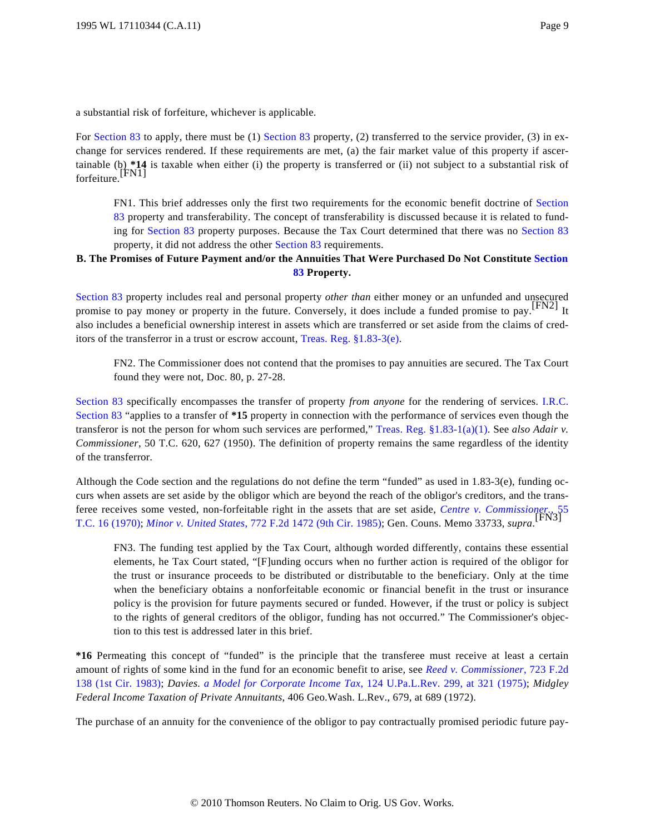a substantial risk of forfeiture, whichever is applicable.

For [Section 83](http://www.westlaw.com/Find/Default.wl?rs=dfa1.0&vr=2.0&DB=1012823&DocName=26USCAS83&FindType=L) to apply, there must be (1) Section 83 property, (2) transferred to the service provider, (3) in exchange for services rendered. If these requirements are met, (a) the fair market value of this property if ascertainable (b) \*14 is taxable when either (i) the property is transferred or (ii) not subject to a substantial risk of forfeiture.<sup>[FN1]</sup>

FN1. This brief addresses only the first two requirements for the economic benefit doctrine of [Section](http://www.westlaw.com/Find/Default.wl?rs=dfa1.0&vr=2.0&DB=1012823&DocName=26USCAS83&FindType=L) [83](http://www.westlaw.com/Find/Default.wl?rs=dfa1.0&vr=2.0&DB=1012823&DocName=26USCAS83&FindType=L) property and transferability. The concept of transferability is discussed because it is related to funding for [Section 83](http://www.westlaw.com/Find/Default.wl?rs=dfa1.0&vr=2.0&DB=1012823&DocName=26USCAS83&FindType=L) property purposes. Because the Tax Court determined that there was no [Section 83](http://www.westlaw.com/Find/Default.wl?rs=dfa1.0&vr=2.0&DB=1012823&DocName=26USCAS83&FindType=L) property, it did not address the other [Section 83](http://www.westlaw.com/Find/Default.wl?rs=dfa1.0&vr=2.0&DB=1012823&DocName=26USCAS83&FindType=L) requirements.

# **B. The Promises of Future Payment and/or the Annuities That Were Purchased Do Not Constitute [Section](http://www.westlaw.com/Find/Default.wl?rs=dfa1.0&vr=2.0&DB=1012823&DocName=26USCAS83&FindType=L) [83](http://www.westlaw.com/Find/Default.wl?rs=dfa1.0&vr=2.0&DB=1012823&DocName=26USCAS83&FindType=L) Property.**

[Section 83](http://www.westlaw.com/Find/Default.wl?rs=dfa1.0&vr=2.0&DB=1012823&DocName=26USCAS83&FindType=L) property includes real and personal property *other than* either money or an unfunded and unsecured promise to pay money or property in the future. Conversely, it does include a funded promise to pay.<sup>[FN2]</sup> It also includes a beneficial ownership interest in assets which are transferred or set aside from the claims of creditors of the transferror in a trust or escrow account, [Treas. Reg. §1.83-3\(e\)](http://www.westlaw.com/Find/Default.wl?rs=dfa1.0&vr=2.0&DB=1016188&DocName=26CFRS1.83-3&FindType=L&ReferencePositionType=T&ReferencePosition=SP_7fdd00001ca15).

FN2. The Commissioner does not contend that the promises to pay annuities are secured. The Tax Court found they were not, Doc. 80, p. 27-28.

[Section 83](http://www.westlaw.com/Find/Default.wl?rs=dfa1.0&vr=2.0&DB=1012823&DocName=26USCAS83&FindType=L) specifically encompasses the transfer of property *from anyone* for the rendering of services. [I.R.C.](http://www.westlaw.com/Find/Default.wl?rs=dfa1.0&vr=2.0&DB=1012823&DocName=26USCAS83&FindType=L) [Section 83](http://www.westlaw.com/Find/Default.wl?rs=dfa1.0&vr=2.0&DB=1012823&DocName=26USCAS83&FindType=L) "applies to a transfer of **\*15** property in connection with the performance of services even though the transferor is not the person for whom such services are performed," [Treas. Reg. §1.83-1\(a\)\(1\)](http://www.westlaw.com/Find/Default.wl?rs=dfa1.0&vr=2.0&DB=1016188&DocName=26CFRS1.83-1&FindType=L&ReferencePositionType=T&ReferencePosition=SP_7b9b000044381). See *also Adair v. Commissioner*, 50 T.C. 620, 627 (1950). The definition of property remains the same regardless of the identity of the transferror.

Although the Code section and the regulations do not define the term "funded" as used in 1.83-3(e), funding occurs when assets are set aside by the obligor which are beyond the reach of the obligor's creditors, and the transferee receives some vested, non-forfeitable right in the assets that are set aside, *[Centre v. Commissioner.](http://www.westlaw.com/Find/Default.wl?rs=dfa1.0&vr=2.0&DB=838&FindType=Y&SerialNum=1971290034)*, 55 [T.C. 16 \(1970\)](http://www.westlaw.com/Find/Default.wl?rs=dfa1.0&vr=2.0&DB=838&FindType=Y&SerialNum=1971290034); *[Minor v. United States](http://www.westlaw.com/Find/Default.wl?rs=dfa1.0&vr=2.0&DB=350&FindType=Y&SerialNum=1985148622)*[, 772 F.2d 1472 \(9th Cir. 1985\)](http://www.westlaw.com/Find/Default.wl?rs=dfa1.0&vr=2.0&DB=350&FindType=Y&SerialNum=1985148622); Gen. Couns. Memo 33733, *supra*. [FN3]

FN3. The funding test applied by the Tax Court, although worded differently, contains these essential elements, he Tax Court stated, "[F]unding occurs when no further action is required of the obligor for the trust or insurance proceeds to be distributed or distributable to the beneficiary. Only at the time when the beneficiary obtains a nonforfeitable economic or financial benefit in the trust or insurance policy is the provision for future payments secured or funded. However, if the trust or policy is subject to the rights of general creditors of the obligor, funding has not occurred." The Commissioner's objection to this test is addressed later in this brief.

**\*16** Permeating this concept of "funded" is the principle that the transferee must receive at least a certain amount of rights of some kind in the fund for an economic benefit to arise, see *[Reed v. Commissioner](http://www.westlaw.com/Find/Default.wl?rs=dfa1.0&vr=2.0&DB=350&FindType=Y&SerialNum=1983154937)*, 723 F.2d [138 \(1st Cir. 1983](http://www.westlaw.com/Find/Default.wl?rs=dfa1.0&vr=2.0&DB=350&FindType=Y&SerialNum=1983154937)); *Davies. [a Model for Corporate Income Ta](http://www.westlaw.com/Find/Default.wl?rs=dfa1.0&vr=2.0&DB=1268&FindType=Y&ReferencePositionType=S&SerialNum=0284406401&ReferencePosition=321)x*[, 124 U.Pa.L.Rev. 299, at 321 \(1975](http://www.westlaw.com/Find/Default.wl?rs=dfa1.0&vr=2.0&DB=1268&FindType=Y&ReferencePositionType=S&SerialNum=0284406401&ReferencePosition=321)); *Midgley Federal Income Taxation of Private Annuitants*, 406 Geo.Wash. L.Rev., 679, at 689 (1972).

The purchase of an annuity for the convenience of the obligor to pay contractually promised periodic future pay-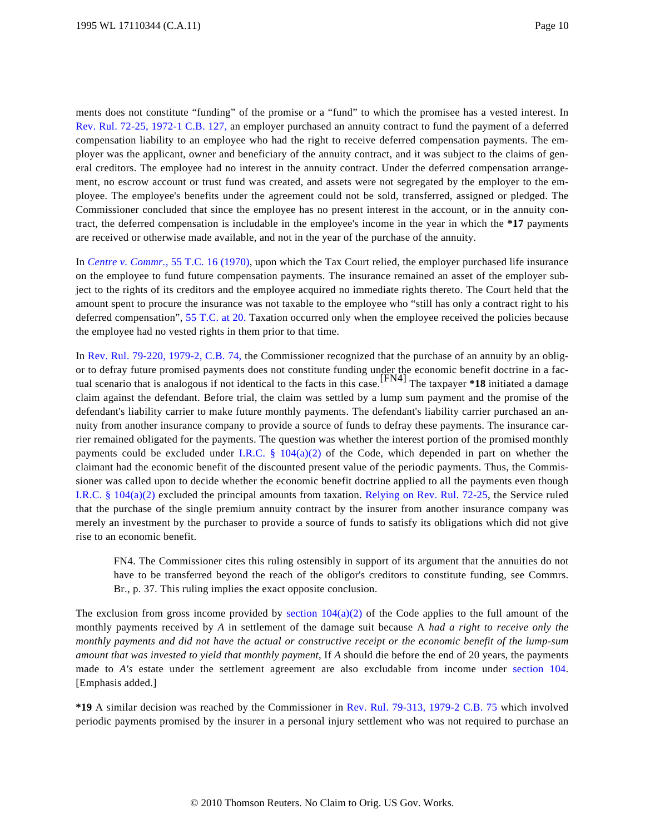ments does not constitute "funding" of the promise or a "fund" to which the promisee has a vested interest. In [Rev. Rul. 72-25, 1972-1 C.B. 127](http://www.westlaw.com/Find/Default.wl?rs=dfa1.0&vr=2.0&DB=1048&FindType=Y&SerialNum=1972019692), an employer purchased an annuity contract to fund the payment of a deferred compensation liability to an employee who had the right to receive deferred compensation payments. The employer was the applicant, owner and beneficiary of the annuity contract, and it was subject to the claims of general creditors. The employee had no interest in the annuity contract. Under the deferred compensation arrangement, no escrow account or trust fund was created, and assets were not segregated by the employer to the employee. The employee's benefits under the agreement could not be sold, transferred, assigned or pledged. The Commissioner concluded that since the employee has no present interest in the account, or in the annuity contract, the deferred compensation is includable in the employee's income in the year in which the **\*17** payments are received or otherwise made available, and not in the year of the purchase of the annuity.

In *[Centre v. Commr.](http://www.westlaw.com/Find/Default.wl?rs=dfa1.0&vr=2.0&DB=838&FindType=Y&SerialNum=1971290034)*[, 55 T.C. 16 \(1970\)](http://www.westlaw.com/Find/Default.wl?rs=dfa1.0&vr=2.0&DB=838&FindType=Y&SerialNum=1971290034), upon which the Tax Court relied, the employer purchased life insurance on the employee to fund future compensation payments. The insurance remained an asset of the employer subject to the rights of its creditors and the employee acquired no immediate rights thereto. The Court held that the amount spent to procure the insurance was not taxable to the employee who "still has only a contract right to his deferred compensation", [55 T.C. at 20](http://www.westlaw.com/Find/Default.wl?rs=dfa1.0&vr=2.0&DB=838&FindType=Y&ReferencePositionType=S&SerialNum=1971290034&ReferencePosition=20). Taxation occurred only when the employee received the policies because the employee had no vested rights in them prior to that time.

In [Rev. Rul. 79-220, 1979-2, C.B. 74](http://www.westlaw.com/Find/Default.wl?rs=dfa1.0&vr=2.0&DB=1048&FindType=Y&ReferencePositionType=S&SerialNum=1979020295&ReferencePosition=1972), the Commissioner recognized that the purchase of an annuity by an obligor to defray future promised payments does not constitute funding under the economic benefit doctrine in a fac-<br>tual scenario that is analogous if not identical to the facts in this case.<sup>[FN4]</sup> The taxpayer \*18 initiated claim against the defendant. Before trial, the claim was settled by a lump sum payment and the promise of the defendant's liability carrier to make future monthly payments. The defendant's liability carrier purchased an annuity from another insurance company to provide a source of funds to defray these payments. The insurance carrier remained obligated for the payments. The question was whether the interest portion of the promised monthly payments could be excluded under [I.R.C. § 104\(a\)\(2](http://www.westlaw.com/Find/Default.wl?rs=dfa1.0&vr=2.0&DB=1012823&DocName=26USCAS104&FindType=L&ReferencePositionType=T&ReferencePosition=SP_d86d0000be040)) of the Code, which depended in part on whether the claimant had the economic benefit of the discounted present value of the periodic payments. Thus, the Commissioner was called upon to decide whether the economic benefit doctrine applied to all the payments even though [I.R.C. § 104\(a\)\(2\)](http://www.westlaw.com/Find/Default.wl?rs=dfa1.0&vr=2.0&DB=1012823&DocName=26USCAS104&FindType=L&ReferencePositionType=T&ReferencePosition=SP_d86d0000be040) excluded the principal amounts from taxation. [Relying on Rev. Rul. 72-25](http://www.westlaw.com/Find/Default.wl?rs=dfa1.0&vr=2.0&DB=1048&FindType=Y&SerialNum=1972019692), the Service ruled that the purchase of the single premium annuity contract by the insurer from another insurance company was merely an investment by the purchaser to provide a source of funds to satisfy its obligations which did not give rise to an economic benefit.

FN4. The Commissioner cites this ruling ostensibly in support of its argument that the annuities do not have to be transferred beyond the reach of the obligor's creditors to constitute funding, see Commrs. Br., p. 37. This ruling implies the exact opposite conclusion.

The exclusion from gross income provided by section  $104(a)(2)$  of the Code applies to the full amount of the monthly payments received by *A* in settlement of the damage suit because A *had a right to receive only the monthly payments and did not have the actual or constructive receipt or the economic benefit of the lump-sum amount that was invested to yield that monthly payment*, If *A* should die before the end of 20 years, the payments made to *A's* estate under the settlement agreement are also excludable from income under [section 10](http://www.westlaw.com/Find/Default.wl?rs=dfa1.0&vr=2.0&DB=1012823&DocName=26USCAS104&FindType=L)4. [Emphasis added.]

**\*19** A similar decision was reached by the Commissioner in [Rev. Rul. 79-313, 1979-2 C.B. 7](http://www.westlaw.com/Find/Default.wl?rs=dfa1.0&vr=2.0&DB=0001048&FindType=Y&SerialNum=1979020296)5 which involved periodic payments promised by the insurer in a personal injury settlement who was not required to purchase an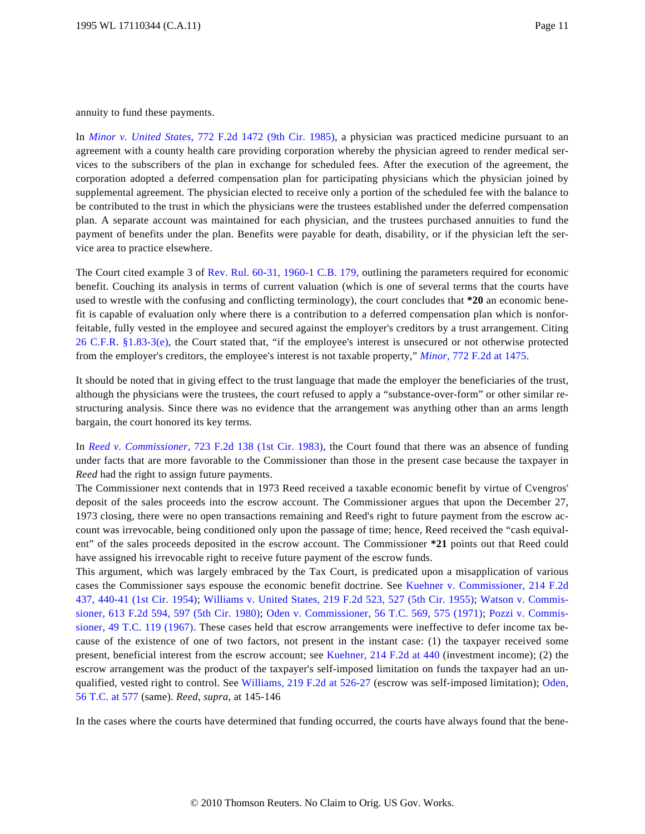annuity to fund these payments.

In *[Minor v. United State](http://www.westlaw.com/Find/Default.wl?rs=dfa1.0&vr=2.0&DB=350&FindType=Y&SerialNum=1985148622)s*[, 772 F.2d 1472 \(9th Cir. 198](http://www.westlaw.com/Find/Default.wl?rs=dfa1.0&vr=2.0&DB=350&FindType=Y&SerialNum=1985148622)5), a physician was practiced medicine pursuant to an agreement with a county health care providing corporation whereby the physician agreed to render medical services to the subscribers of the plan in exchange for scheduled fees. After the execution of the agreement, the corporation adopted a deferred compensation plan for participating physicians which the physician joined by supplemental agreement. The physician elected to receive only a portion of the scheduled fee with the balance to be contributed to the trust in which the physicians were the trustees established under the deferred compensation plan. A separate account was maintained for each physician, and the trustees purchased annuities to fund the payment of benefits under the plan. Benefits were payable for death, disability, or if the physician left the service area to practice elsewhere.

The Court cited example 3 of [Rev. Rul. 60-31, 1960-1 C.B. 179](http://www.westlaw.com/Find/Default.wl?rs=dfa1.0&vr=2.0&DB=1048&FindType=Y&SerialNum=1960013797), outlining the parameters required for economic benefit. Couching its analysis in terms of current valuation (which is one of several terms that the courts have used to wrestle with the confusing and conflicting terminology), the court concludes that **\*20** an economic benefit is capable of evaluation only where there is a contribution to a deferred compensation plan which is nonforfeitable, fully vested in the employee and secured against the employer's creditors by a trust arrangement. Citing [26 C.F.R. §1.83-3\(e](http://www.westlaw.com/Find/Default.wl?rs=dfa1.0&vr=2.0&DB=1000547&DocName=26CFRS1.83-3&FindType=L&ReferencePositionType=T&ReferencePosition=SP_7fdd00001ca15)), the Court stated that, "if the employee's interest is unsecured or not otherwise protected from the employer's creditors, the employee's interest is not taxable property," *[Minor](http://www.westlaw.com/Find/Default.wl?rs=dfa1.0&vr=2.0&DB=350&FindType=Y&ReferencePositionType=S&SerialNum=1985148622&ReferencePosition=1475)*[, 772 F.2d at 1475](http://www.westlaw.com/Find/Default.wl?rs=dfa1.0&vr=2.0&DB=350&FindType=Y&ReferencePositionType=S&SerialNum=1985148622&ReferencePosition=1475).

It should be noted that in giving effect to the trust language that made the employer the beneficiaries of the trust, although the physicians were the trustees, the court refused to apply a "substance-over-form" or other similar restructuring analysis. Since there was no evidence that the arrangement was anything other than an arms length bargain, the court honored its key terms.

In *[Reed v. Commissione](http://www.westlaw.com/Find/Default.wl?rs=dfa1.0&vr=2.0&DB=350&FindType=Y&SerialNum=1983154937)r*[, 723 F.2d 138 \(1st Cir. 1983](http://www.westlaw.com/Find/Default.wl?rs=dfa1.0&vr=2.0&DB=350&FindType=Y&SerialNum=1983154937)), the Court found that there was an absence of funding under facts that are more favorable to the Commissioner than those in the present case because the taxpayer in *Reed* had the right to assign future payments.

The Commissioner next contends that in 1973 Reed received a taxable economic benefit by virtue of Cvengros' deposit of the sales proceeds into the escrow account. The Commissioner argues that upon the December 27, 1973 closing, there were no open transactions remaining and Reed's right to future payment from the escrow account was irrevocable, being conditioned only upon the passage of time; hence, Reed received the "cash equivalent" of the sales proceeds deposited in the escrow account. The Commissioner **\*21** points out that Reed could have assigned his irrevocable right to receive future payment of the escrow funds.

This argument, which was largely embraced by the Tax Court, is predicated upon a misapplication of various cases the Commissioner says espouse the economic benefit doctrine. See [Kuehner v. Commissioner, 214 F.2d](http://www.westlaw.com/Find/Default.wl?rs=dfa1.0&vr=2.0&DB=350&FindType=Y&ReferencePositionType=S&SerialNum=1954118906&ReferencePosition=440) [437, 440-41 \(1st Cir. 1954](http://www.westlaw.com/Find/Default.wl?rs=dfa1.0&vr=2.0&DB=350&FindType=Y&ReferencePositionType=S&SerialNum=1954118906&ReferencePosition=440)); [Williams v. United States, 219 F.2d 523, 527 \(5th Cir. 1955](http://www.westlaw.com/Find/Default.wl?rs=dfa1.0&vr=2.0&DB=350&FindType=Y&ReferencePositionType=S&SerialNum=1955121916&ReferencePosition=527)); [Watson v. Commis](http://www.westlaw.com/Find/Default.wl?rs=dfa1.0&vr=2.0&DB=350&FindType=Y&ReferencePositionType=S&SerialNum=1980102193&ReferencePosition=597)[sioner, 613 F.2d 594, 597 \(5th Cir. 1980](http://www.westlaw.com/Find/Default.wl?rs=dfa1.0&vr=2.0&DB=350&FindType=Y&ReferencePositionType=S&SerialNum=1980102193&ReferencePosition=597)); [Oden v. Commissioner, 56 T.C. 569, 575 \(1971](http://www.westlaw.com/Find/Default.wl?rs=dfa1.0&vr=2.0&DB=838&FindType=Y&ReferencePositionType=S&SerialNum=1972290238&ReferencePosition=575)); [Pozzi v. Commis](http://www.westlaw.com/Find/Default.wl?rs=dfa1.0&vr=2.0&DB=838&FindType=Y&SerialNum=1968290137)[sioner, 49 T.C. 119 \(1967](http://www.westlaw.com/Find/Default.wl?rs=dfa1.0&vr=2.0&DB=838&FindType=Y&SerialNum=1968290137)). These cases held that escrow arrangements were ineffective to defer income tax because of the existence of one of two factors, not present in the instant case: (1) the taxpayer received some present, beneficial interest from the escrow account; see [Kuehner, 214 F.2d at 440](http://www.westlaw.com/Find/Default.wl?rs=dfa1.0&vr=2.0&DB=350&FindType=Y&ReferencePositionType=S&SerialNum=1954118906&ReferencePosition=440) (investment income); (2) the escrow arrangement was the product of the taxpayer's self-imposed limitation on funds the taxpayer had an un-qualified, vested right to control. See [Williams, 219 F.2d at 526-27](http://www.westlaw.com/Find/Default.wl?rs=dfa1.0&vr=2.0&DB=350&FindType=Y&ReferencePositionType=S&SerialNum=1955121916&ReferencePosition=526) (escrow was self-imposed limitation); [Oden,](http://www.westlaw.com/Find/Default.wl?rs=dfa1.0&vr=2.0&DB=838&FindType=Y&ReferencePositionType=S&SerialNum=1972290238&ReferencePosition=577) [56 T.C. at 577](http://www.westlaw.com/Find/Default.wl?rs=dfa1.0&vr=2.0&DB=838&FindType=Y&ReferencePositionType=S&SerialNum=1972290238&ReferencePosition=577) (same). *Reed*, *supra,* at 145-146

In the cases where the courts have determined that funding occurred, the courts have always found that the bene-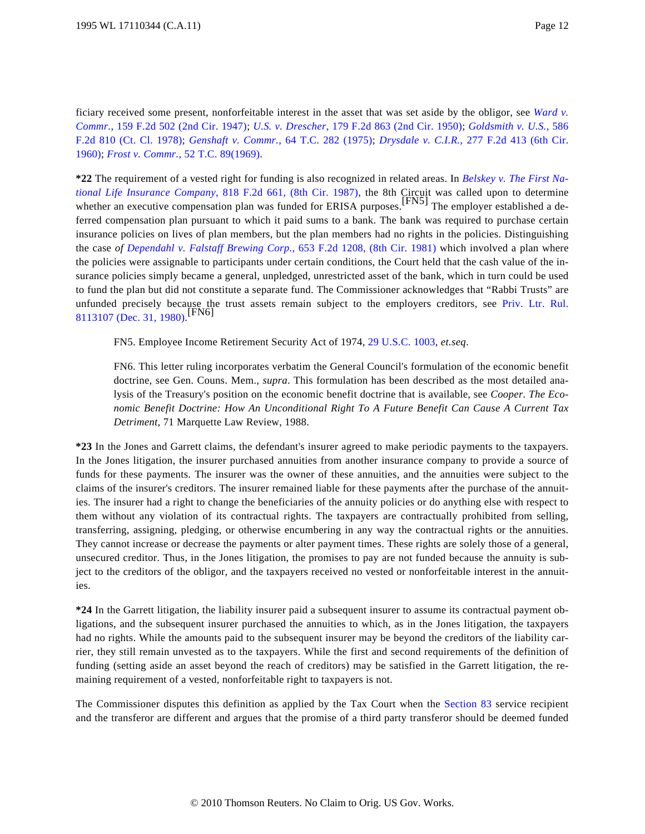ficiary received some present, nonforfeitable interest in the asset that was set aside by the obligor, see *[Ward v.](http://www.westlaw.com/Find/Default.wl?rs=dfa1.0&vr=2.0&DB=350&FindType=Y&SerialNum=1947117606) [Commr.](http://www.westlaw.com/Find/Default.wl?rs=dfa1.0&vr=2.0&DB=350&FindType=Y&SerialNum=1947117606)*[, 159 F.2d 502 \(2nd Cir. 1947](http://www.westlaw.com/Find/Default.wl?rs=dfa1.0&vr=2.0&DB=350&FindType=Y&SerialNum=1947117606)); *[U.S. v. Drescher](http://www.westlaw.com/Find/Default.wl?rs=dfa1.0&vr=2.0&DB=350&FindType=Y&SerialNum=1950119573)*[, 179 F.2d 863 \(2nd Cir. 1950](http://www.westlaw.com/Find/Default.wl?rs=dfa1.0&vr=2.0&DB=350&FindType=Y&SerialNum=1950119573)); *[Goldsmith v. U.S](http://www.westlaw.com/Find/Default.wl?rs=dfa1.0&vr=2.0&DB=350&FindType=Y&SerialNum=1978120911).*[, 586](http://www.westlaw.com/Find/Default.wl?rs=dfa1.0&vr=2.0&DB=350&FindType=Y&SerialNum=1978120911) [F.2d 810 \(Ct. Cl. 1978](http://www.westlaw.com/Find/Default.wl?rs=dfa1.0&vr=2.0&DB=350&FindType=Y&SerialNum=1978120911)); *[Genshaft v. Commr](http://www.westlaw.com/Find/Default.wl?rs=dfa1.0&vr=2.0&DB=838&FindType=Y&SerialNum=1975290002).*[, 64 T.C. 282 \(1975](http://www.westlaw.com/Find/Default.wl?rs=dfa1.0&vr=2.0&DB=838&FindType=Y&SerialNum=1975290002)); *[Drysdale v. C.I.R](http://www.westlaw.com/Find/Default.wl?rs=dfa1.0&vr=2.0&DB=350&FindType=Y&SerialNum=1960101102).*[, 277 F.2d 413 \(6th Cir](http://www.westlaw.com/Find/Default.wl?rs=dfa1.0&vr=2.0&DB=350&FindType=Y&SerialNum=1960101102). [1960\)](http://www.westlaw.com/Find/Default.wl?rs=dfa1.0&vr=2.0&DB=350&FindType=Y&SerialNum=1960101102); *[Frost v. Commr](http://www.westlaw.com/Find/Default.wl?rs=dfa1.0&vr=2.0&DB=838&FindType=Y&SerialNum=1969290089).*[, 52 T.C. 89\(1969\)](http://www.westlaw.com/Find/Default.wl?rs=dfa1.0&vr=2.0&DB=838&FindType=Y&SerialNum=1969290089).

**\*22** The requirement of a vested right for funding is also recognized in related areas. In *[Belskey v. The First Na](http://www.westlaw.com/Find/Default.wl?rs=dfa1.0&vr=2.0&DB=350&FindType=Y&SerialNum=1987060295)[tional Life Insurance Compan](http://www.westlaw.com/Find/Default.wl?rs=dfa1.0&vr=2.0&DB=350&FindType=Y&SerialNum=1987060295)y*[, 818 F.2d 661, \(8th Cir. 198](http://www.westlaw.com/Find/Default.wl?rs=dfa1.0&vr=2.0&DB=350&FindType=Y&SerialNum=1987060295)7), the 8th Circuit was called upon to determine whether an executive compensation plan was funded for ERISA purposes.<sup>[FN5]</sup> The employer established a deferred compensation plan pursuant to which it paid sums to a bank. The bank was required to purchase certain insurance policies on lives of plan members, but the plan members had no rights in the policies. Distinguishing the case *of [Dependahl v. Falstaff Brewing Corp](http://www.westlaw.com/Find/Default.wl?rs=dfa1.0&vr=2.0&DB=350&FindType=Y&SerialNum=1981127994).*[, 653 F.2d 1208, \(8th Cir. 1981](http://www.westlaw.com/Find/Default.wl?rs=dfa1.0&vr=2.0&DB=350&FindType=Y&SerialNum=1981127994)) which involved a plan where the policies were assignable to participants under certain conditions, the Court held that the cash value of the insurance policies simply became a general, unpledged, unrestricted asset of the bank, which in turn could be used to fund the plan but did not constitute a separate fund. The Commissioner acknowledges that "Rabbi Trusts" are unfunded precisely because the trust assets remain subject to the employers creditors, see [Priv. Ltr. Rul](http://www.westlaw.com/Find/Default.wl?rs=dfa1.0&vr=2.0&DB=0004309&FindType=Y&SerialNum=1980034226). [8113107 \(Dec. 31, 1980\)](http://www.westlaw.com/Find/Default.wl?rs=dfa1.0&vr=2.0&DB=0004309&FindType=Y&SerialNum=1980034226). [FN6]

FN5. Employee Income Retirement Security Act of 1974, [29 U.S.C. 1003](http://www.westlaw.com/Find/Default.wl?rs=dfa1.0&vr=2.0&DB=1000546&DocName=29USCAS1003&FindType=L), *et.seq*.

FN6. This letter ruling incorporates verbatim the General Council's formulation of the economic benefit doctrine, see Gen. Couns. Mem., *supra*. This formulation has been described as the most detailed analysis of the Treasury's position on the economic benefit doctrine that is available, see *Cooper. The Economic Benefit Doctrine: How An Unconditional Right To A Future Benefit Can Cause A Current Tax Detriment*, 71 Marquette Law Review, 1988.

**\*23** In the Jones and Garrett claims, the defendant's insurer agreed to make periodic payments to the taxpayers. In the Jones litigation, the insurer purchased annuities from another insurance company to provide a source of funds for these payments. The insurer was the owner of these annuities, and the annuities were subject to the claims of the insurer's creditors. The insurer remained liable for these payments after the purchase of the annuities. The insurer had a right to change the beneficiaries of the annuity policies or do anything else with respect to them without any violation of its contractual rights. The taxpayers are contractually prohibited from selling, transferring, assigning, pledging, or otherwise encumbering in any way the contractual rights or the annuities. They cannot increase or decrease the payments or alter payment times. These rights are solely those of a general, unsecured creditor. Thus, in the Jones litigation, the promises to pay are not funded because the annuity is subject to the creditors of the obligor, and the taxpayers received no vested or nonforfeitable interest in the annuities.

**\*24** In the Garrett litigation, the liability insurer paid a subsequent insurer to assume its contractual payment obligations, and the subsequent insurer purchased the annuities to which, as in the Jones litigation, the taxpayers had no rights. While the amounts paid to the subsequent insurer may be beyond the creditors of the liability carrier, they still remain unvested as to the taxpayers. While the first and second requirements of the definition of funding (setting aside an asset beyond the reach of creditors) may be satisfied in the Garrett litigation, the remaining requirement of a vested, nonforfeitable right to taxpayers is not.

The Commissioner disputes this definition as applied by the Tax Court when the [Section 83](http://www.westlaw.com/Find/Default.wl?rs=dfa1.0&vr=2.0&DB=1012823&DocName=26USCAS83&FindType=L) service recipient and the transferor are different and argues that the promise of a third party transferor should be deemed funded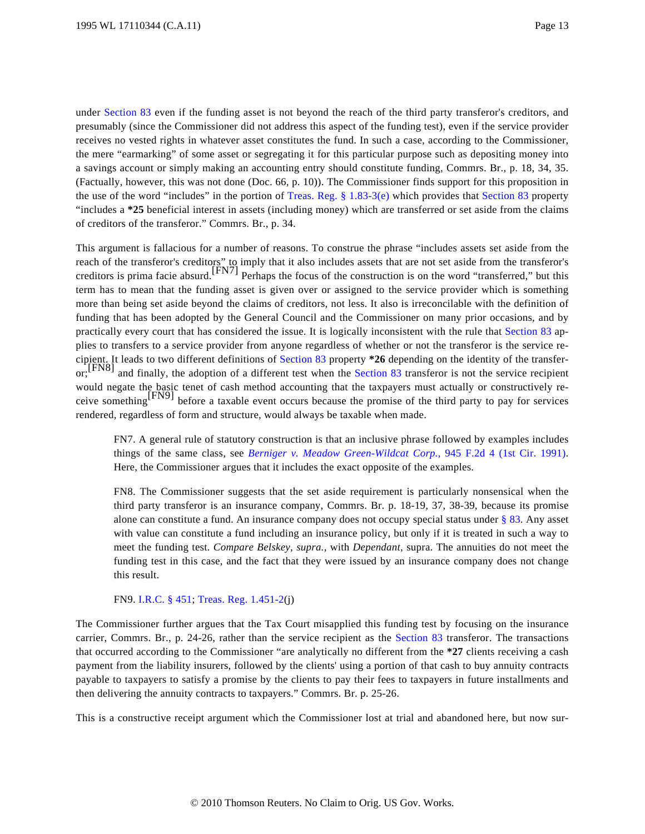under [Section 83](http://www.westlaw.com/Find/Default.wl?rs=dfa1.0&vr=2.0&DB=1012823&DocName=26USCAS83&FindType=L) even if the funding asset is not beyond the reach of the third party transferor's creditors, and presumably (since the Commissioner did not address this aspect of the funding test), even if the service provider receives no vested rights in whatever asset constitutes the fund. In such a case, according to the Commissioner, the mere "earmarking" of some asset or segregating it for this particular purpose such as depositing money into a savings account or simply making an accounting entry should constitute funding, Commrs. Br., p. 18, 34, 35. (Factually, however, this was not done (Doc. 66, p. 10)). The Commissioner finds support for this proposition in the use of the word "includes" in the portion of [Treas. Reg. § 1.83-3\(e](http://www.westlaw.com/Find/Default.wl?rs=dfa1.0&vr=2.0&DB=1016188&DocName=26CFRS1.83-3&FindType=L&ReferencePositionType=T&ReferencePosition=SP_7fdd00001ca15)) which provides that [Section 83](http://www.westlaw.com/Find/Default.wl?rs=dfa1.0&vr=2.0&DB=1012823&DocName=26USCAS83&FindType=L) property "includes a **\*25** beneficial interest in assets (including money) which are transferred or set aside from the claims of creditors of the transferor." Commrs. Br., p. 34.

This argument is fallacious for a number of reasons. To construe the phrase "includes assets set aside from the reach of the transferor's creditors" to imply that it also includes assets that are not set aside from the transferor's creditors is prima facie absurd.[FN7] Perhaps the focus of the construction is on the word "transferred," but this term has to mean that the funding asset is given over or assigned to the service provider which is something more than being set aside beyond the claims of creditors, not less. It also is irreconcilable with the definition of funding that has been adopted by the General Council and the Commissioner on many prior occasions, and by practically every court that has considered the issue. It is logically inconsistent with the rule that [Section 83](http://www.westlaw.com/Find/Default.wl?rs=dfa1.0&vr=2.0&DB=1012823&DocName=26USCAS83&FindType=L) applies to transfers to a service provider from anyone regardless of whether or not the transferor is the service recipient. It leads to two different definitions of [Section 83](http://www.westlaw.com/Find/Default.wl?rs=dfa1.0&vr=2.0&DB=1012823&DocName=26USCAS83&FindType=L) property **\*26** depending on the identity of the transfer-or;<sup>[FN8]</sup> and finally, the adoption of a different test when the [Section 83](http://www.westlaw.com/Find/Default.wl?rs=dfa1.0&vr=2.0&DB=1012823&DocName=26USCAS83&FindType=L) transferor is not the service recipient would negate the basic tenet of cash method accounting that the taxpayers must actually or constructively receive something[FN9] before a taxable event occurs because the promise of the third party to pay for services rendered, regardless of form and structure, would always be taxable when made.

FN7. A general rule of statutory construction is that an inclusive phrase followed by examples includes things of the same class, see *[Berniger v. Meadow Green-Wildcat Cor](http://www.westlaw.com/Find/Default.wl?rs=dfa1.0&vr=2.0&DB=350&FindType=Y&SerialNum=1991155009)p.*[, 945 F.2d 4 \(1st Cir. 199](http://www.westlaw.com/Find/Default.wl?rs=dfa1.0&vr=2.0&DB=350&FindType=Y&SerialNum=1991155009)1). Here, the Commissioner argues that it includes the exact opposite of the examples.

FN8. The Commissioner suggests that the set aside requirement is particularly nonsensical when the third party transferor is an insurance company, Commrs. Br. p. 18-19, 37, 38-39, because its promise alone can constitute a fund. An insurance company does not occupy special status under  $\S$  83. Any asset with value can constitute a fund including an insurance policy, but only if it is treated in such a way to meet the funding test. *Compare Belskey*, *supra.,* with *Dependant*, supra. The annuities do not meet the funding test in this case, and the fact that they were issued by an insurance company does not change this result.

#### FN9. [I.R.C. § 451](http://www.westlaw.com/Find/Default.wl?rs=dfa1.0&vr=2.0&DB=1012823&DocName=26USCAS451&FindType=L); [Treas. Reg. 1.451-2](http://www.westlaw.com/Find/Default.wl?rs=dfa1.0&vr=2.0&DB=1016188&DocName=26CFRS1.451-2&FindType=L)(j)

The Commissioner further argues that the Tax Court misapplied this funding test by focusing on the insurance carrier, Commrs. Br., p. 24-26, rather than the service recipient as the [Section 83](http://www.westlaw.com/Find/Default.wl?rs=dfa1.0&vr=2.0&DB=1012823&DocName=26USCAS83&FindType=L) transferor. The transactions that occurred according to the Commissioner "are analytically no different from the **\*27** clients receiving a cash payment from the liability insurers, followed by the clients' using a portion of that cash to buy annuity contracts payable to taxpayers to satisfy a promise by the clients to pay their fees to taxpayers in future installments and then delivering the annuity contracts to taxpayers." Commrs. Br. p. 25-26.

This is a constructive receipt argument which the Commissioner lost at trial and abandoned here, but now sur-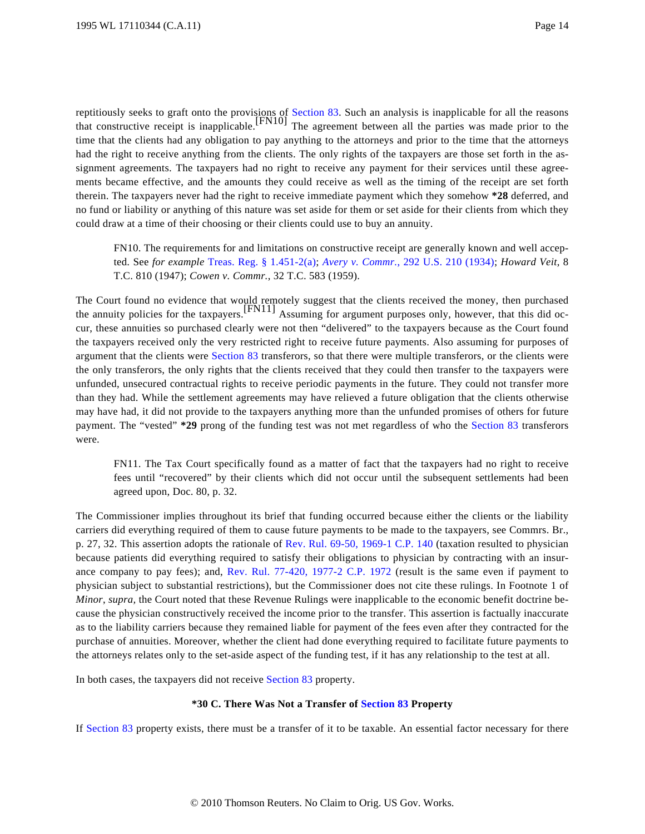reptitiously seeks to graft onto the provisions of [Section 83](http://www.westlaw.com/Find/Default.wl?rs=dfa1.0&vr=2.0&DB=1012823&DocName=26USCAS83&FindType=L). Such an analysis is inapplicable for all the reasons<br>that constructive receipt is inapplicable. The agreement between all the parties was made prior to the time that the clients had any obligation to pay anything to the attorneys and prior to the time that the attorneys had the right to receive anything from the clients. The only rights of the taxpayers are those set forth in the assignment agreements. The taxpayers had no right to receive any payment for their services until these agreements became effective, and the amounts they could receive as well as the timing of the receipt are set forth therein. The taxpayers never had the right to receive immediate payment which they somehow **\*28** deferred, and no fund or liability or anything of this nature was set aside for them or set aside for their clients from which they could draw at a time of their choosing or their clients could use to buy an annuity.

FN10. The requirements for and limitations on constructive receipt are generally known and well accepted. See *for example* [Treas. Reg. § 1.451-2\(a](http://www.westlaw.com/Find/Default.wl?rs=dfa1.0&vr=2.0&DB=1016188&DocName=26CFRS1.451-2&FindType=L&ReferencePositionType=T&ReferencePosition=SP_8b3b0000958a4)); *[Avery v. Commr](http://www.westlaw.com/Find/Default.wl?rs=dfa1.0&vr=2.0&DB=780&FindType=Y&SerialNum=1934123861).*[, 292 U.S. 210 \(1934](http://www.westlaw.com/Find/Default.wl?rs=dfa1.0&vr=2.0&DB=780&FindType=Y&SerialNum=1934123861)); *Howard Veit*, 8 T.C. 810 (1947); *Cowen v. Commr.*, 32 T.C. 583 (1959).

The Court found no evidence that would remotely suggest that the clients received the money, then purchased<br>the annuity policies for the taxpayers.<sup>[FN11]</sup> Assuming for argument purposes only, however, that this did occur, these annuities so purchased clearly were not then "delivered" to the taxpayers because as the Court found the taxpayers received only the very restricted right to receive future payments. Also assuming for purposes of argument that the clients were [Section 83](http://www.westlaw.com/Find/Default.wl?rs=dfa1.0&vr=2.0&DB=1012823&DocName=26USCAS83&FindType=L) transferors, so that there were multiple transferors, or the clients were the only transferors, the only rights that the clients received that they could then transfer to the taxpayers were unfunded, unsecured contractual rights to receive periodic payments in the future. They could not transfer more than they had. While the settlement agreements may have relieved a future obligation that the clients otherwise may have had, it did not provide to the taxpayers anything more than the unfunded promises of others for future payment. The "vested" **\*29** prong of the funding test was not met regardless of who the [Section 83](http://www.westlaw.com/Find/Default.wl?rs=dfa1.0&vr=2.0&DB=1012823&DocName=26USCAS83&FindType=L) transferors were.

FN11. The Tax Court specifically found as a matter of fact that the taxpayers had no right to receive fees until "recovered" by their clients which did not occur until the subsequent settlements had been agreed upon, Doc. 80, p. 32.

The Commissioner implies throughout its brief that funding occurred because either the clients or the liability carriers did everything required of them to cause future payments to be made to the taxpayers, see Commrs. Br., p. 27, 32. This assertion adopts the rationale of [Rev. Rul. 69-50, 1969-1 C.P. 140](http://www.westlaw.com/Find/Default.wl?rs=dfa1.0&vr=2.0&DB=1048&FindType=Y&SerialNum=1969014117) (taxation resulted to physician because patients did everything required to satisfy their obligations to physician by contracting with an insurance company to pay fees); and, [Rev. Rul. 77-420, 1977-2 C.P. 197](http://www.westlaw.com/Find/Default.wl?rs=dfa1.0&vr=2.0&DB=1048&FindType=Y&SerialNum=1977019414)2 (result is the same even if payment to physician subject to substantial restrictions), but the Commissioner does not cite these rulings. In Footnote 1 of *Minor*, *supra,* the Court noted that these Revenue Rulings were inapplicable to the economic benefit doctrine because the physician constructively received the income prior to the transfer. This assertion is factually inaccurate as to the liability carriers because they remained liable for payment of the fees even after they contracted for the purchase of annuities. Moreover, whether the client had done everything required to facilitate future payments to the attorneys relates only to the set-aside aspect of the funding test, if it has any relationship to the test at all.

In both cases, the taxpayers did not receive [Section 83](http://www.westlaw.com/Find/Default.wl?rs=dfa1.0&vr=2.0&DB=1012823&DocName=26USCAS83&FindType=L) property.

#### **\*30 C. There Was Not a Transfer of [Section 83](http://www.westlaw.com/Find/Default.wl?rs=dfa1.0&vr=2.0&DB=1012823&DocName=26USCAS83&FindType=L) Property**

If [Section 83](http://www.westlaw.com/Find/Default.wl?rs=dfa1.0&vr=2.0&DB=1012823&DocName=26USCAS83&FindType=L) property exists, there must be a transfer of it to be taxable. An essential factor necessary for there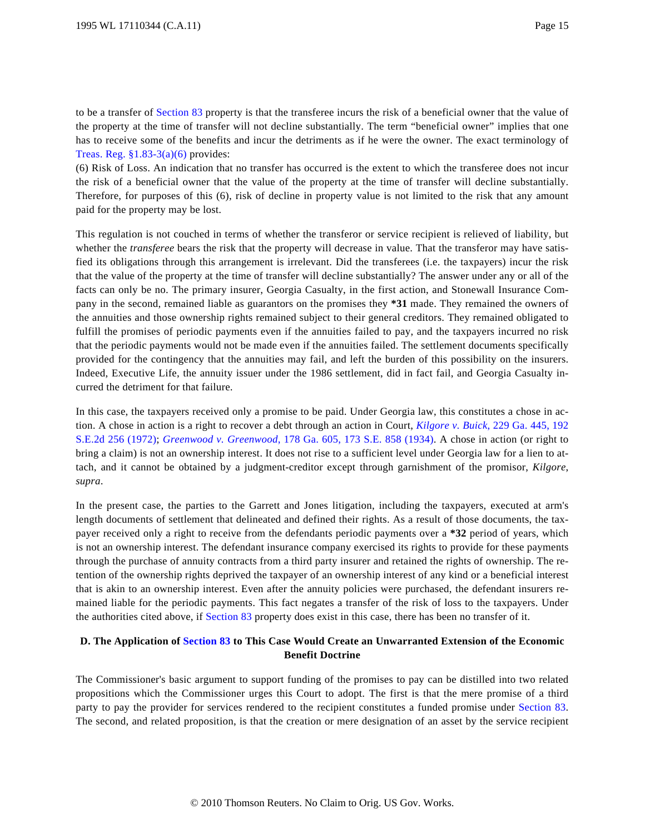to be a transfer of [Section 83](http://www.westlaw.com/Find/Default.wl?rs=dfa1.0&vr=2.0&DB=1012823&DocName=26USCAS83&FindType=L) property is that the transferee incurs the risk of a beneficial owner that the value of the property at the time of transfer will not decline substantially. The term "beneficial owner" implies that one has to receive some of the benefits and incur the detriments as if he were the owner. The exact terminology of [Treas. Reg. §1.83-3\(a\)\(6\)](http://www.westlaw.com/Find/Default.wl?rs=dfa1.0&vr=2.0&DB=1016188&DocName=26CFRS1.83-3&FindType=L&ReferencePositionType=T&ReferencePosition=SP_1496000051ed7) provides:

(6) Risk of Loss. An indication that no transfer has occurred is the extent to which the transferee does not incur the risk of a beneficial owner that the value of the property at the time of transfer will decline substantially. Therefore, for purposes of this (6), risk of decline in property value is not limited to the risk that any amount paid for the property may be lost.

This regulation is not couched in terms of whether the transferor or service recipient is relieved of liability, but whether the *transferee* bears the risk that the property will decrease in value. That the transferor may have satisfied its obligations through this arrangement is irrelevant. Did the transferees (i.e. the taxpayers) incur the risk that the value of the property at the time of transfer will decline substantially? The answer under any or all of the facts can only be no. The primary insurer, Georgia Casualty, in the first action, and Stonewall Insurance Company in the second, remained liable as guarantors on the promises they **\*31** made. They remained the owners of the annuities and those ownership rights remained subject to their general creditors. They remained obligated to fulfill the promises of periodic payments even if the annuities failed to pay, and the taxpayers incurred no risk that the periodic payments would not be made even if the annuities failed. The settlement documents specifically provided for the contingency that the annuities may fail, and left the burden of this possibility on the insurers. Indeed, Executive Life, the annuity issuer under the 1986 settlement, did in fact fail, and Georgia Casualty incurred the detriment for that failure.

In this case, the taxpayers received only a promise to be paid. Under Georgia law, this constitutes a chose in action. A chose in action is a right to recover a debt through an action in Court, *[Kilgore v. Buick](http://www.westlaw.com/Find/Default.wl?rs=dfa1.0&vr=2.0&DB=711&FindType=Y&SerialNum=1972129077)*[, 229 Ga. 445, 192](http://www.westlaw.com/Find/Default.wl?rs=dfa1.0&vr=2.0&DB=711&FindType=Y&SerialNum=1972129077) [S.E.2d 256 \(1972](http://www.westlaw.com/Find/Default.wl?rs=dfa1.0&vr=2.0&DB=711&FindType=Y&SerialNum=1972129077)); *[Greenwood v. Greenwood](http://www.westlaw.com/Find/Default.wl?rs=dfa1.0&vr=2.0&DB=710&FindType=Y&SerialNum=1934106835)*[, 178 Ga. 605, 173 S.E. 858 \(1934](http://www.westlaw.com/Find/Default.wl?rs=dfa1.0&vr=2.0&DB=710&FindType=Y&SerialNum=1934106835)). A chose in action (or right to bring a claim) is not an ownership interest. It does not rise to a sufficient level under Georgia law for a lien to attach, and it cannot be obtained by a judgment-creditor except through garnishment of the promisor, *Kilgore*, *supra*.

In the present case, the parties to the Garrett and Jones litigation, including the taxpayers, executed at arm's length documents of settlement that delineated and defined their rights. As a result of those documents, the taxpayer received only a right to receive from the defendants periodic payments over a **\*32** period of years, which is not an ownership interest. The defendant insurance company exercised its rights to provide for these payments through the purchase of annuity contracts from a third party insurer and retained the rights of ownership. The retention of the ownership rights deprived the taxpayer of an ownership interest of any kind or a beneficial interest that is akin to an ownership interest. Even after the annuity policies were purchased, the defendant insurers remained liable for the periodic payments. This fact negates a transfer of the risk of loss to the taxpayers. Under the authorities cited above, if [Section 83](http://www.westlaw.com/Find/Default.wl?rs=dfa1.0&vr=2.0&DB=1012823&DocName=26USCAS83&FindType=L) property does exist in this case, there has been no transfer of it.

# **D. The Application of [Section 83](http://www.westlaw.com/Find/Default.wl?rs=dfa1.0&vr=2.0&DB=1012823&DocName=26USCAS83&FindType=L) to This Case Would Create an Unwarranted Extension of the Economic Benefit Doctrine**

The Commissioner's basic argument to support funding of the promises to pay can be distilled into two related propositions which the Commissioner urges this Court to adopt. The first is that the mere promise of a third party to pay the provider for services rendered to the recipient constitutes a funded promise under [Section 83](http://www.westlaw.com/Find/Default.wl?rs=dfa1.0&vr=2.0&DB=1012823&DocName=26USCAS83&FindType=L). The second, and related proposition, is that the creation or mere designation of an asset by the service recipient